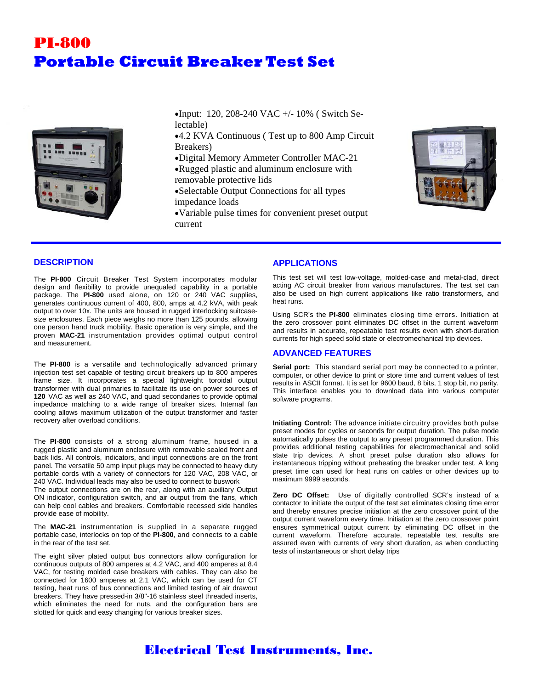# PI-800 **Portable Circuit Breaker Test Set**



Input: 120, 208-240 VAC +/- 10% ( Switch Selectable)

4.2 KVA Continuous ( Test up to 800 Amp Circuit Breakers)

Digital Memory Ammeter Controller MAC-21

Rugged plastic and aluminum enclosure with removable protective lids

- Selectable Output Connections for all types impedance loads
- Variable pulse times for convenient preset output current



### **DESCRIPTION**

The **PI-800** Circuit Breaker Test System incorporates modular design and flexibility to provide unequaled capability in a portable package. The **PI-800** used alone, on 120 or 240 VAC supplies, generates continuous current of 400, 800, amps at 4.2 kVA, with peak output to over 10x. The units are housed in rugged interlocking suitcasesize enclosures. Each piece weighs no more than 125 pounds, allowing one person hand truck mobility. Basic operation is very simple, and the proven **MAC-21** instrumentation provides optimal output control and measurement.

The **PI-800** is a versatile and technologically advanced primary injection test set capable of testing circuit breakers up to 800 amperes frame size. It incorporates a special lightweight toroidal output transformer with dual primaries to facilitate its use on power sources of **120** VAC as well as 240 VAC, and quad secondaries to provide optimal impedance matching to a wide range of breaker sizes. Internal fan cooling allows maximum utilization of the output transformer and faster recovery after overload conditions.

The **PI-800** consists of a strong aluminum frame, housed in a rugged plastic and aluminum enclosure with removable sealed front and back lids. All controls, indicators, and input connections are on the front panel. The versatile 50 amp input plugs may be connected to heavy duty portable cords with a variety of connectors for 120 VAC, 208 VAC, or 240 VAC. Individual leads may also be used to connect to buswork

The output connections are on the rear, along with an auxiliary Output ON indicator, configuration switch, and air output from the fans, which can help cool cables and breakers. Comfortable recessed side handles provide ease of mobility.

The **MAC-21** instrumentation is supplied in a separate rugged portable case, interlocks on top of the **PI-800**, and connects to a cable in the rear of the test set.

The eight silver plated output bus connectors allow configuration for continuous outputs of 800 amperes at 4.2 VAC, and 400 amperes at 8.4 VAC, for testing molded case breakers with cables. They can also be connected for 1600 amperes at 2.1 VAC, which can be used for CT testing, heat runs of bus connections and limited testing of air drawout breakers. They have pressed-in 3/8"-16 stainless steel threaded inserts, which eliminates the need for nuts, and the configuration bars are slotted for quick and easy changing for various breaker sizes.

### **APPLICATIONS**

This test set will test low-voltage, molded-case and metal-clad, direct acting AC circuit breaker from various manufactures. The test set can also be used on high current applications like ratio transformers, and heat runs.

Using SCR's the **PI-800** eliminates closing time errors. Initiation at the zero crossover point eliminates DC offset in the current waveform and results in accurate, repeatable test results even with short-duration currents for high speed solid state or electromechanical trip devices.

### **ADVANCED FEATURES**

**Serial port:** This standard serial port may be connected to a printer, computer, or other device to print or store time and current values of test results in ASCII format. It is set for 9600 baud, 8 bits, 1 stop bit, no parity. This interface enables you to download data into various computer software programs.

**Initiating Control:** The advance initiate circuitry provides both pulse preset modes for cycles or seconds for output duration. The pulse mode automatically pulses the output to any preset programmed duration. This provides additional testing capabilities for electromechanical and solid state trip devices. A short preset pulse duration also allows for instantaneous tripping without preheating the breaker under test. A long preset time can used for heat runs on cables or other devices up to maximum 9999 seconds.

**Zero DC Offset:** Use of digitally controlled SCR's instead of a contactor to initiate the output of the test set eliminates closing time error and thereby ensures precise initiation at the zero crossover point of the output current waveform every time. Initiation at the zero crossover point ensures symmetrical output current by eliminating DC offset in the current waveform. Therefore accurate, repeatable test results are assured even with currents of very short duration, as when conducting tests of instantaneous or short delay trips

## Electrical Test Instruments, Inc.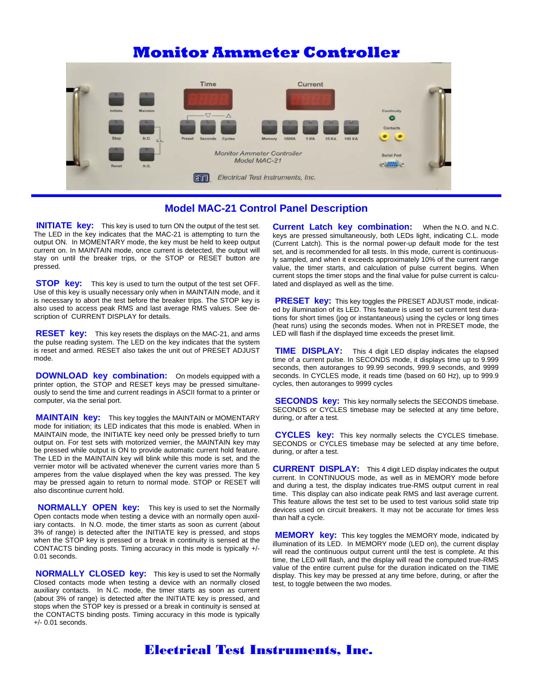# **Monitor Ammeter Controller**



### **Model MAC-21 Control Panel Description**

**INITIATE key:** This key is used to turn ON the output of the test set. The LED in the key indicates that the MAC-21 is attempting to turn the output ON. In MOMENTARY mode, the key must be held to keep output current on. In MAINTAIN mode, once current is detected, the output will stay on until the breaker trips, or the STOP or RESET button are pressed.

**STOP key:** This key is used to turn the output of the test set OFF. Use of this key is usually necessary only when in MAINTAIN mode, and it is necessary to abort the test before the breaker trips. The STOP key is also used to access peak RMS and last average RMS values. See description of CURRENT DISPLAY for details.

**RESET key:** This key resets the displays on the MAC-21, and arms the pulse reading system. The LED on the key indicates that the system is reset and armed*.* RESET also takes the unit out of PRESET ADJUST mode.

**DOWNLOAD key combination:** On models equipped with a printer option, the STOP and RESET keys may be pressed simultaneously to send the time and current readings in ASCII format to a printer or computer, via the serial port.

**MAINTAIN key:** This key toggles the MAINTAIN or MOMENTARY mode for initiation; its LED indicates that this mode is enabled. When in MAINTAIN mode, the INITIATE key need only be pressed briefly to turn output on. For test sets with motorized vernier, the MAINTAIN key may be pressed while output is ON to provide automatic current hold feature. The LED in the MAINTAIN key will blink while this mode is set, and the vernier motor will be activated whenever the current varies more than 5 amperes from the value displayed when the key was pressed. The key may be pressed again to return to normal mode. STOP or RESET will also discontinue current hold.

 **NORMALLY OPEN key:** This key is used to set the Normally Open contacts mode when testing a device with an normally open auxiliary contacts. In N.O. mode, the timer starts as soon as current (about 3% of range) is detected after the INITIATE key is pressed, and stops when the STOP key is pressed or a break in continuity is sensed at the CONTACTS binding posts. Timing accuracy in this mode is typically +/- 0.01 seconds.

**NORMALLY CLOSED key:** This key is used to set the Normally Closed contacts mode when testing a device with an normally closed auxiliary contacts. In N.C. mode, the timer starts as soon as current (about 3% of range) is detected after the INITIATE key is pressed, and stops when the STOP key is pressed or a break in continuity is sensed at the CONTACTS binding posts. Timing accuracy in this mode is typically +/- 0.01 seconds.

**Current Latch key combination:** When the N.O. and N.C. keys are pressed simultaneously, both LEDs light, indicating C.L. mode (Current Latch). This is the normal power-up default mode for the test set, and is recommended for all tests. In this mode, current is continuously sampled, and when it exceeds approximately 10% of the current range value, the timer starts, and calculation of pulse current begins. When current stops the timer stops and the final value for pulse current is calculated and displayed as well as the time.

**PRESET key:** This key toggles the PRESET ADJUST mode, indicated by illumination of its LED. This feature is used to set current test durations for short times (jog or instantaneous) using the cycles or long times (heat runs) using the seconds modes. When not in PRESET mode, the LED will flash if the displayed time exceeds the preset limit.

 **TIME DISPLAY:** This 4 digit LED display indicates the elapsed time of a current pulse. In SECONDS mode, it displays time up to 9.999 seconds, then autoranges to 99.99 seconds, 999.9 seconds, and 9999 seconds. In CYCLES mode, it reads time (based on 60 Hz), up to 999.9 cycles, then autoranges to 9999 cycles

**SECONDS key:** This key normally selects the SECONDS timebase. SECONDS or CYCLES timebase may be selected at any time before, during, or after a test.

**CYCLES key:** This key normally selects the CYCLES timebase. SECONDS or CYCLES timebase may be selected at any time before, during, or after a test.

**CURRENT DISPLAY:** This 4 digit LED display indicates the output current. In CONTINUOUS mode, as well as in MEMORY mode before and during a test, the display indicates true-RMS output current in real time. This display can also indicate peak RMS and last average current. This feature allows the test set to be used to test various solid state trip devices used on circuit breakers. It may not be accurate for times less than half a cycle.

**MEMORY key:** This key toggles the MEMORY mode, indicated by illumination of its LED. In MEMORY mode (LED on), the current display will read the continuous output current until the test is complete. At this time, the LED will flash, and the display will read the computed true-RMS value of the entire current pulse for the duration indicated on the TIME display. This key may be pressed at any time before, during, or after the test, to toggle between the two modes.

## Electrical Test Instruments, Inc.